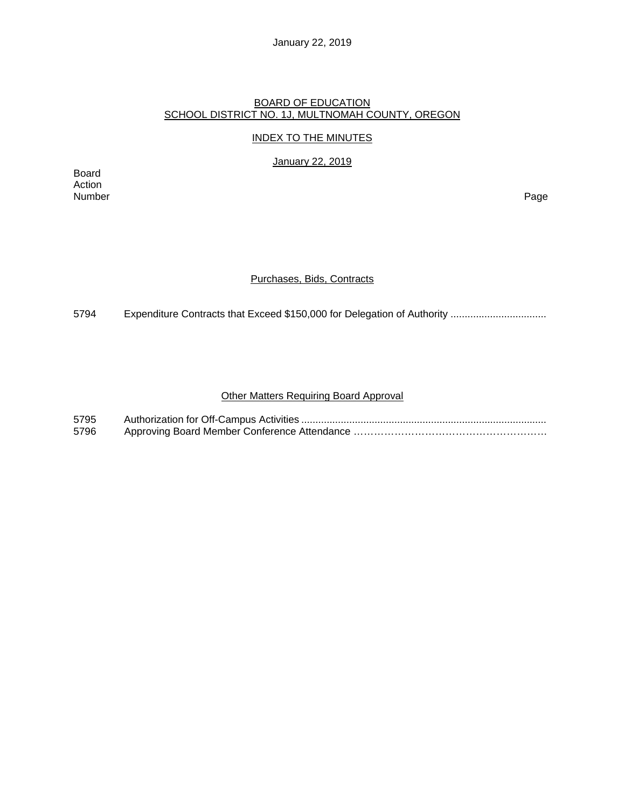January 22, 2019

#### BOARD OF EDUCATION SCHOOL DISTRICT NO. 1J, MULTNOMAH COUNTY, OREGON

# INDEX TO THE MINUTES

January 22, 2019

Board Action Number Page

## Purchases, Bids, Contracts

5794 Expenditure Contracts that Exceed \$150,000 for Delegation of Authority .................................

# Other Matters Requiring Board Approval

| 5795 |  |
|------|--|
| 5796 |  |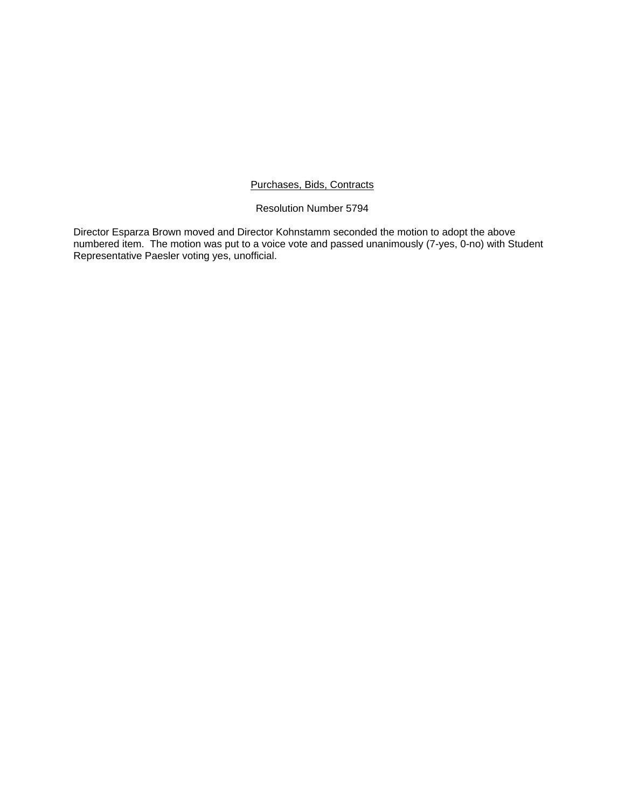# Purchases, Bids, Contracts

# Resolution Number 5794

Director Esparza Brown moved and Director Kohnstamm seconded the motion to adopt the above numbered item. The motion was put to a voice vote and passed unanimously (7-yes, 0-no) with Student Representative Paesler voting yes, unofficial.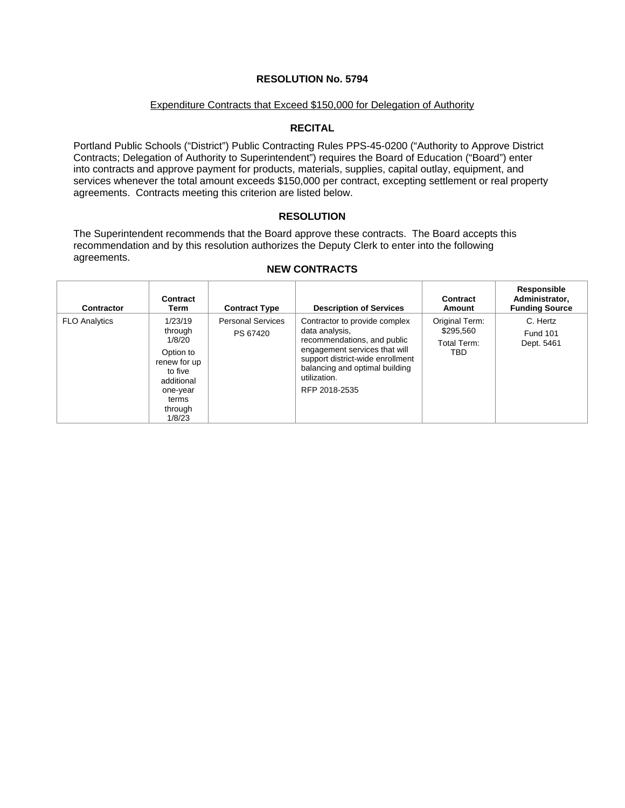# **RESOLUTION No. 5794**

#### Expenditure Contracts that Exceed \$150,000 for Delegation of Authority

# **RECITAL**

Portland Public Schools ("District") Public Contracting Rules PPS-45-0200 ("Authority to Approve District Contracts; Delegation of Authority to Superintendent") requires the Board of Education ("Board") enter into contracts and approve payment for products, materials, supplies, capital outlay, equipment, and services whenever the total amount exceeds \$150,000 per contract, excepting settlement or real property agreements. Contracts meeting this criterion are listed below.

## **RESOLUTION**

The Superintendent recommends that the Board approve these contracts. The Board accepts this recommendation and by this resolution authorizes the Deputy Clerk to enter into the following agreements.

т

| Contractor           | Contract<br>Term                                                                                                             | <b>Contract Type</b>                 | <b>Description of Services</b>                                                                                                                                                                                         | Contract<br>Amount                                | Responsible<br>Administrator,<br><b>Funding Source</b> |
|----------------------|------------------------------------------------------------------------------------------------------------------------------|--------------------------------------|------------------------------------------------------------------------------------------------------------------------------------------------------------------------------------------------------------------------|---------------------------------------------------|--------------------------------------------------------|
| <b>FLO Analytics</b> | 1/23/19<br>through<br>1/8/20<br>Option to<br>renew for up<br>to five<br>additional<br>one-year<br>terms<br>through<br>1/8/23 | <b>Personal Services</b><br>PS 67420 | Contractor to provide complex<br>data analysis,<br>recommendations, and public<br>engagement services that will<br>support district-wide enrollment<br>balancing and optimal building<br>utilization.<br>RFP 2018-2535 | Original Term:<br>\$295,560<br>Total Term:<br>TBD | C. Hertz<br><b>Fund 101</b><br>Dept. 5461              |

#### **NEW CONTRACTS**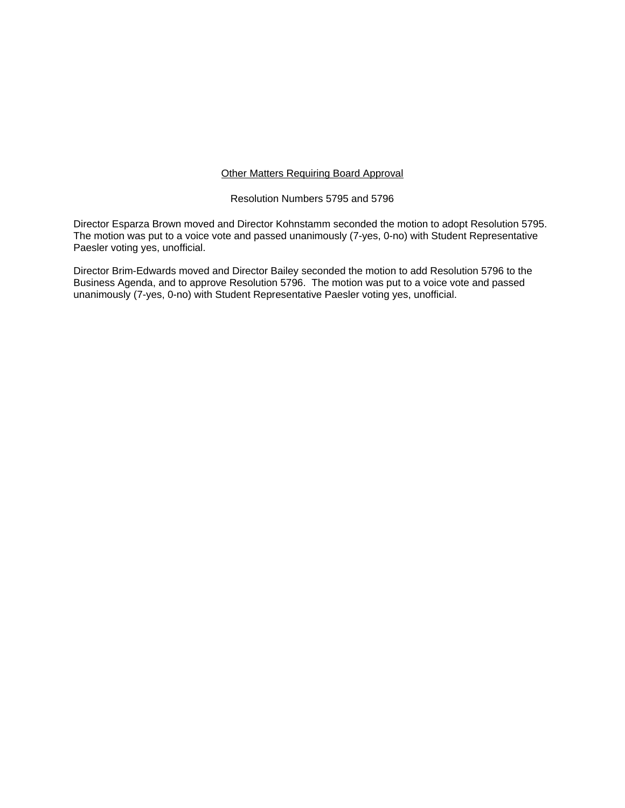## Other Matters Requiring Board Approval

## Resolution Numbers 5795 and 5796

Director Esparza Brown moved and Director Kohnstamm seconded the motion to adopt Resolution 5795. The motion was put to a voice vote and passed unanimously (7-yes, 0-no) with Student Representative Paesler voting yes, unofficial.

Director Brim-Edwards moved and Director Bailey seconded the motion to add Resolution 5796 to the Business Agenda, and to approve Resolution 5796. The motion was put to a voice vote and passed unanimously (7-yes, 0-no) with Student Representative Paesler voting yes, unofficial.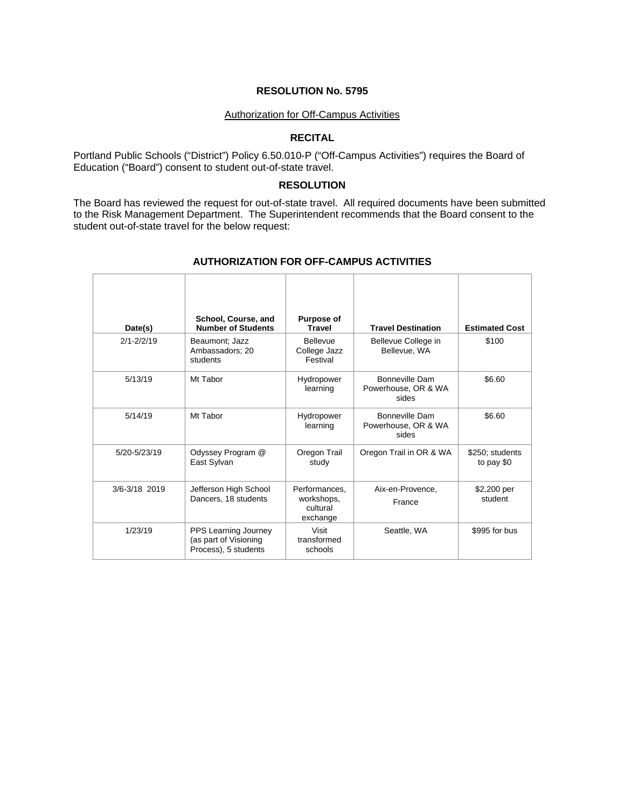# **RESOLUTION No. 5795**

#### Authorization for Off-Campus Activities

#### **RECITAL**

Portland Public Schools ("District") Policy 6.50.010-P ("Off-Campus Activities") requires the Board of Education ("Board") consent to student out-of-state travel.

# **RESOLUTION**

The Board has reviewed the request for out-of-state travel. All required documents have been submitted to the Risk Management Department. The Superintendent recommends that the Board consent to the student out-of-state travel for the below request:

| Date(s)        | School, Course, and<br><b>Number of Students</b>                      | <b>Purpose of</b><br><b>Travel</b>                  | <b>Travel Destination</b>                      | <b>Estimated Cost</b>         |
|----------------|-----------------------------------------------------------------------|-----------------------------------------------------|------------------------------------------------|-------------------------------|
| $2/1 - 2/2/19$ | Beaumont; Jazz<br>Ambassadors: 20<br>students                         | <b>Bellevue</b><br>College Jazz<br>Festival         | Bellevue College in<br>Bellevue, WA            | \$100                         |
| 5/13/19        | Mt Tabor                                                              | Hydropower<br>learning                              | Bonneville Dam<br>Powerhouse, OR & WA<br>sides | \$6.60                        |
| 5/14/19        | Mt Tabor                                                              | Hydropower<br>learning                              | Bonneville Dam<br>Powerhouse, OR & WA<br>sides | \$6.60                        |
| 5/20-5/23/19   | Odyssey Program @<br>East Sylvan                                      | Oregon Trail<br>study                               | Oregon Trail in OR & WA                        | \$250: students<br>to pay \$0 |
| 3/6-3/18 2019  | Jefferson High School<br>Dancers, 18 students                         | Performances,<br>workshops,<br>cultural<br>exchange | Aix-en-Provence,<br>France                     | \$2,200 per<br>student        |
| 1/23/19        | PPS Learning Journey<br>(as part of Visioning<br>Process), 5 students | Visit<br>transformed<br>schools                     | Seattle, WA                                    | \$995 for bus                 |

#### **AUTHORIZATION FOR OFF-CAMPUS ACTIVITIES**